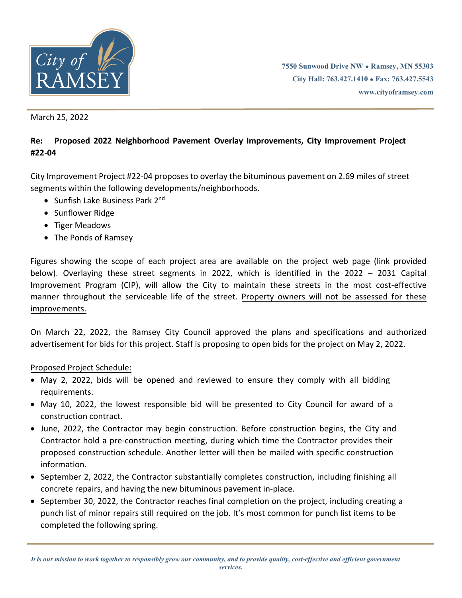

**7550 Sunwood Drive NW ● Ramsey, MN 55303 City Hall: 763.427.1410 ● Fax: 763.427.5543 www.cityoframsey.com**

March 25, 2022

# **Re: Proposed 2022 Neighborhood Pavement Overlay Improvements, City Improvement Project #22-04**

City Improvement Project #22-04 proposes to overlay the bituminous pavement on 2.69 miles of street segments within the following developments/neighborhoods.

- Sunfish Lake Business Park 2nd
- Sunflower Ridge
- Tiger Meadows
- The Ponds of Ramsey

Figures showing the scope of each project area are available on the project web page (link provided below). Overlaying these street segments in 2022, which is identified in the 2022 – 2031 Capital Improvement Program (CIP), will allow the City to maintain these streets in the most cost-effective manner throughout the serviceable life of the street. Property owners will not be assessed for these improvements.

On March 22, 2022, the Ramsey City Council approved the plans and specifications and authorized advertisement for bids for this project. Staff is proposing to open bids for the project on May 2, 2022.

#### Proposed Project Schedule:

- May 2, 2022, bids will be opened and reviewed to ensure they comply with all bidding requirements.
- May 10, 2022, the lowest responsible bid will be presented to City Council for award of a construction contract.
- June, 2022, the Contractor may begin construction. Before construction begins, the City and Contractor hold a pre-construction meeting, during which time the Contractor provides their proposed construction schedule. Another letter will then be mailed with specific construction information.
- September 2, 2022, the Contractor substantially completes construction, including finishing all concrete repairs, and having the new bituminous pavement in-place.
- September 30, 2022, the Contractor reaches final completion on the project, including creating a punch list of minor repairs still required on the job. It's most common for punch list items to be completed the following spring.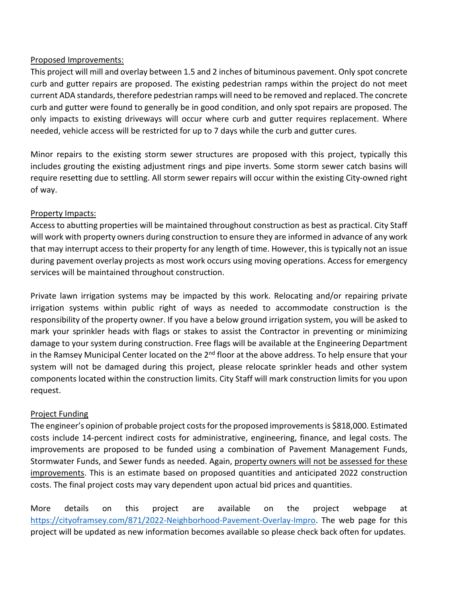### Proposed Improvements:

This project will mill and overlay between 1.5 and 2 inches of bituminous pavement. Only spot concrete curb and gutter repairs are proposed. The existing pedestrian ramps within the project do not meet current ADA standards, therefore pedestrian ramps will need to be removed and replaced. The concrete curb and gutter were found to generally be in good condition, and only spot repairs are proposed. The only impacts to existing driveways will occur where curb and gutter requires replacement. Where needed, vehicle access will be restricted for up to 7 days while the curb and gutter cures.

Minor repairs to the existing storm sewer structures are proposed with this project, typically this includes grouting the existing adjustment rings and pipe inverts. Some storm sewer catch basins will require resetting due to settling. All storm sewer repairs will occur within the existing City-owned right of way.

# Property Impacts:

Access to abutting properties will be maintained throughout construction as best as practical. City Staff will work with property owners during construction to ensure they are informed in advance of any work that may interrupt access to their property for any length of time. However, this is typically not an issue during pavement overlay projects as most work occurs using moving operations. Access for emergency services will be maintained throughout construction.

Private lawn irrigation systems may be impacted by this work. Relocating and/or repairing private irrigation systems within public right of ways as needed to accommodate construction is the responsibility of the property owner. If you have a below ground irrigation system, you will be asked to mark your sprinkler heads with flags or stakes to assist the Contractor in preventing or minimizing damage to your system during construction. Free flags will be available at the Engineering Department in the Ramsey Municipal Center located on the  $2<sup>nd</sup>$  floor at the above address. To help ensure that your system will not be damaged during this project, please relocate sprinkler heads and other system components located within the construction limits. City Staff will mark construction limits for you upon request.

# Project Funding

The engineer's opinion of probable project costs for the proposed improvements is \$818,000. Estimated costs include 14-percent indirect costs for administrative, engineering, finance, and legal costs. The improvements are proposed to be funded using a combination of Pavement Management Funds, Stormwater Funds, and Sewer funds as needed. Again, property owners will not be assessed for these improvements. This is an estimate based on proposed quantities and anticipated 2022 construction costs. The final project costs may vary dependent upon actual bid prices and quantities.

More details on this project are available on the project webpage at [https://cityoframsey.com/871/2022-Neighborhood-Pavement-Overlay-Impro.](https://cityoframsey.com/871/2022-Neighborhood-Pavement-Overlay-Impro) The web page for this project will be updated as new information becomes available so please check back often for updates.